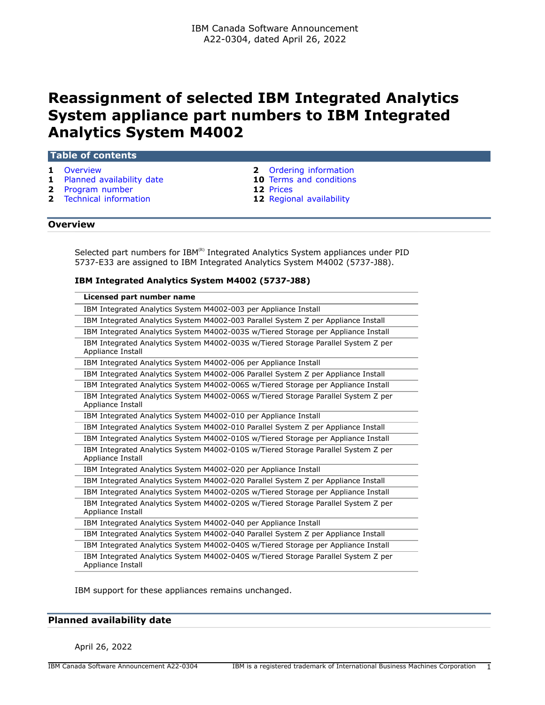# **Reassignment of selected IBM Integrated Analytics System appliance part numbers to IBM Integrated Analytics System M4002**

#### **Table of contents**

- 
- **1** [Planned availability date](#page-0-1) **10** [Terms and conditions](#page-9-0)
- **2** [Program number](#page-1-1) **12** [Prices](#page-11-0)
- **1** [Overview](#page-0-0) **2** [Ordering information](#page-1-0)
	-
	-
- **2** [Technical information](#page-1-2) **12** [Regional availability](#page-11-1)

#### <span id="page-0-0"></span>**Overview**

Selected part numbers for  $IBM^{(R)}$  Integrated Analytics System appliances under PID 5737-E33 are assigned to IBM Integrated Analytics System M4002 (5737-J88).

## **IBM Integrated Analytics System M4002 (5737-J88)**

| Licensed part number name                                                                              |
|--------------------------------------------------------------------------------------------------------|
| IBM Integrated Analytics System M4002-003 per Appliance Install                                        |
| IBM Integrated Analytics System M4002-003 Parallel System Z per Appliance Install                      |
| IBM Integrated Analytics System M4002-003S w/Tiered Storage per Appliance Install                      |
| IBM Integrated Analytics System M4002-003S w/Tiered Storage Parallel System Z per<br>Appliance Install |
| IBM Integrated Analytics System M4002-006 per Appliance Install                                        |
| IBM Integrated Analytics System M4002-006 Parallel System Z per Appliance Install                      |
| IBM Integrated Analytics System M4002-006S w/Tiered Storage per Appliance Install                      |
| IBM Integrated Analytics System M4002-006S w/Tiered Storage Parallel System Z per<br>Appliance Install |
| IBM Integrated Analytics System M4002-010 per Appliance Install                                        |
| IBM Integrated Analytics System M4002-010 Parallel System Z per Appliance Install                      |
| IBM Integrated Analytics System M4002-010S w/Tiered Storage per Appliance Install                      |
| IBM Integrated Analytics System M4002-010S w/Tiered Storage Parallel System Z per<br>Appliance Install |
| IBM Integrated Analytics System M4002-020 per Appliance Install                                        |
| IBM Integrated Analytics System M4002-020 Parallel System Z per Appliance Install                      |
| IBM Integrated Analytics System M4002-020S w/Tiered Storage per Appliance Install                      |
| IBM Integrated Analytics System M4002-020S w/Tiered Storage Parallel System Z per<br>Appliance Install |
| IBM Integrated Analytics System M4002-040 per Appliance Install                                        |
| IBM Integrated Analytics System M4002-040 Parallel System Z per Appliance Install                      |
| IBM Integrated Analytics System M4002-040S w/Tiered Storage per Appliance Install                      |
| IBM Integrated Analytics System M4002-040S w/Tiered Storage Parallel System Z per<br>Appliance Install |

IBM support for these appliances remains unchanged.

## <span id="page-0-1"></span>**Planned availability date**

April 26, 2022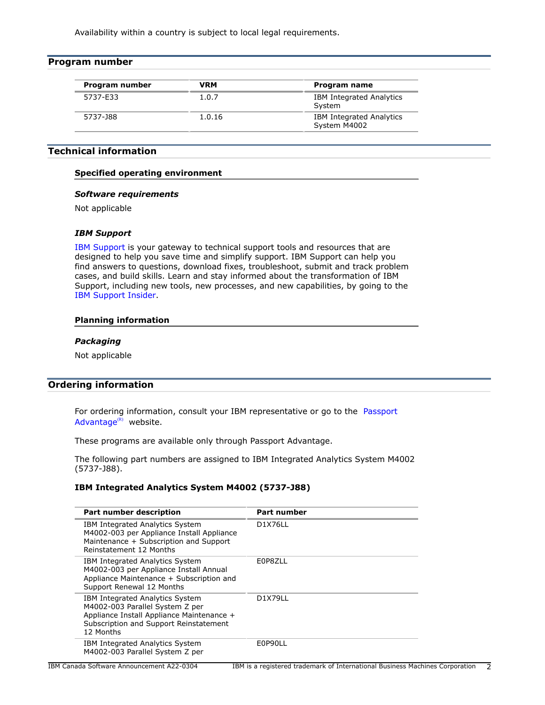Availability within a country is subject to local legal requirements.

<span id="page-1-1"></span>

| Program number |            |                                           |
|----------------|------------|-------------------------------------------|
| Program number | <b>VRM</b> | Program name                              |
| 5737-E33       | 1.0.7      | <b>IBM Integrated Analytics</b><br>System |
| 5737-J88       | 1.0.16     | IBM Integrated Analytics<br>System M4002  |

# <span id="page-1-2"></span>**Technical information**

# **Specified operating environment**

#### *Software requirements*

Not applicable

## *IBM Support*

[IBM Support](https://www.ibm.com/support) is your gateway to technical support tools and resources that are designed to help you save time and simplify support. IBM Support can help you find answers to questions, download fixes, troubleshoot, submit and track problem cases, and build skills. Learn and stay informed about the transformation of IBM Support, including new tools, new processes, and new capabilities, by going to the [IBM Support Insider](https://www.ibm.com/support/insider).

## **Planning information**

#### *Packaging*

Not applicable

# <span id="page-1-0"></span>**Ordering information**

For ordering information, consult your IBM representative or go to the [Passport](https://www.ibm.com/software/passportadvantage/) [Advantage](https://www.ibm.com/software/passportadvantage/) $(R)$  website.

These programs are available only through Passport Advantage.

The following part numbers are assigned to IBM Integrated Analytics System M4002 (5737-J88).

## **IBM Integrated Analytics System M4002 (5737-J88)**

| Part number description                                                                                                                                                | Part number    |
|------------------------------------------------------------------------------------------------------------------------------------------------------------------------|----------------|
| IBM Integrated Analytics System<br>M4002-003 per Appliance Install Appliance<br>Maintenance + Subscription and Support<br>Reinstatement 12 Months                      | <b>D1X76LL</b> |
| IBM Integrated Analytics System<br>M4002-003 per Appliance Install Annual<br>Appliance Maintenance + Subscription and<br>Support Renewal 12 Months                     | E0P8ZLL        |
| IBM Integrated Analytics System<br>M4002-003 Parallel System Z per<br>Appliance Install Appliance Maintenance +<br>Subscription and Support Reinstatement<br>12 Months | D1X79LL        |
| IBM Integrated Analytics System<br>M4002-003 Parallel System Z per                                                                                                     | E0P90LL        |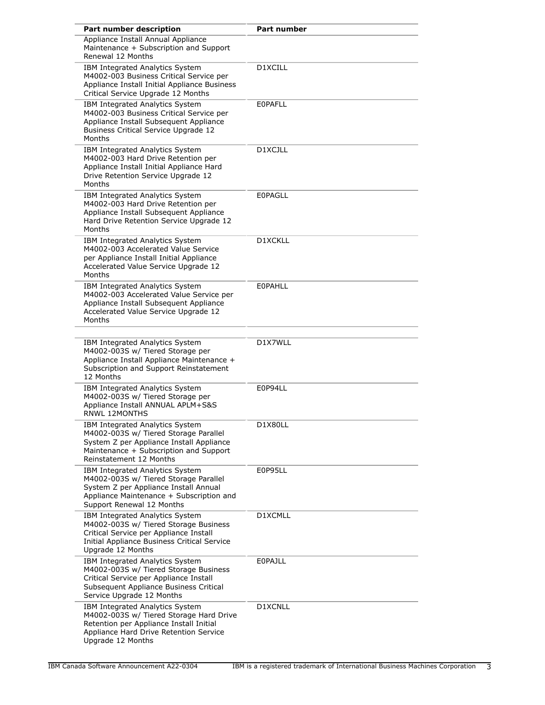| Part number description                                                                                                                                                                    | <b>Part number</b> |
|--------------------------------------------------------------------------------------------------------------------------------------------------------------------------------------------|--------------------|
| Appliance Install Annual Appliance<br>Maintenance + Subscription and Support<br>Renewal 12 Months                                                                                          |                    |
| IBM Integrated Analytics System<br>M4002-003 Business Critical Service per<br>Appliance Install Initial Appliance Business<br>Critical Service Upgrade 12 Months                           | D1XCILL            |
| IBM Integrated Analytics System<br>M4002-003 Business Critical Service per<br>Appliance Install Subsequent Appliance<br>Business Critical Service Upgrade 12<br>Months                     | <b>EOPAFLL</b>     |
| IBM Integrated Analytics System<br>M4002-003 Hard Drive Retention per<br>Appliance Install Initial Appliance Hard<br>Drive Retention Service Upgrade 12<br>Months                          | D1XCJLL            |
| IBM Integrated Analytics System<br>M4002-003 Hard Drive Retention per<br>Appliance Install Subsequent Appliance<br>Hard Drive Retention Service Upgrade 12<br>Months                       | <b>EOPAGLL</b>     |
| IBM Integrated Analytics System<br>M4002-003 Accelerated Value Service<br>per Appliance Install Initial Appliance<br>Accelerated Value Service Upgrade 12<br>Months                        | D1XCKLL            |
| IBM Integrated Analytics System<br>M4002-003 Accelerated Value Service per<br>Appliance Install Subsequent Appliance<br>Accelerated Value Service Upgrade 12<br>Months                     | <b>EOPAHLL</b>     |
| IBM Integrated Analytics System<br>M4002-003S w/ Tiered Storage per<br>Appliance Install Appliance Maintenance +<br>Subscription and Support Reinstatement<br>12 Months                    | D1X7WLL            |
| IBM Integrated Analytics System<br>M4002-003S w/ Tiered Storage per<br>Appliance Install ANNUAL APLM+S&S<br><b>RNWL 12MONTHS</b>                                                           | E0P94LL            |
| IBM Integrated Analytics System<br>M4002-003S w/ Tiered Storage Parallel<br>System Z per Appliance Install Appliance<br>Maintenance + Subscription and Support<br>Reinstatement 12 Months  | D1X80LL            |
| IBM Integrated Analytics System<br>M4002-003S w/ Tiered Storage Parallel<br>System Z per Appliance Install Annual<br>Appliance Maintenance + Subscription and<br>Support Renewal 12 Months | E0P95LL            |
| IBM Integrated Analytics System<br>M4002-003S w/ Tiered Storage Business<br>Critical Service per Appliance Install<br>Initial Appliance Business Critical Service<br>Upgrade 12 Months     | D1XCMLL            |
| IBM Integrated Analytics System<br>M4002-003S w/ Tiered Storage Business<br>Critical Service per Appliance Install<br>Subsequent Appliance Business Critical<br>Service Upgrade 12 Months  | <b>EOPAJLL</b>     |
| IBM Integrated Analytics System<br>M4002-003S w/ Tiered Storage Hard Drive<br>Retention per Appliance Install Initial<br>Appliance Hard Drive Retention Service<br>Upgrade 12 Months       | D1XCNLL            |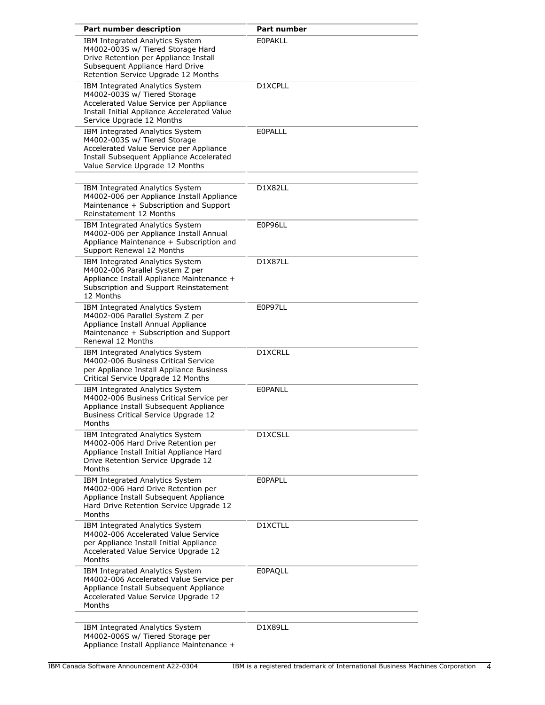| Part number description                                                                                                                                                                   | <b>Part number</b> |
|-------------------------------------------------------------------------------------------------------------------------------------------------------------------------------------------|--------------------|
| IBM Integrated Analytics System<br>M4002-003S w/ Tiered Storage Hard<br>Drive Retention per Appliance Install<br>Subsequent Appliance Hard Drive<br>Retention Service Upgrade 12 Months   | <b>EOPAKLL</b>     |
| IBM Integrated Analytics System<br>M4002-003S w/ Tiered Storage<br>Accelerated Value Service per Appliance<br>Install Initial Appliance Accelerated Value<br>Service Upgrade 12 Months    | D1XCPLL            |
| IBM Integrated Analytics System<br>M4002-003S w/ Tiered Storage<br>Accelerated Value Service per Appliance<br>Install Subsequent Appliance Accelerated<br>Value Service Upgrade 12 Months | EOPALLL            |
| IBM Integrated Analytics System<br>M4002-006 per Appliance Install Appliance<br>Maintenance + Subscription and Support<br>Reinstatement 12 Months                                         | D1X82LL            |
| IBM Integrated Analytics System<br>M4002-006 per Appliance Install Annual<br>Appliance Maintenance + Subscription and<br>Support Renewal 12 Months                                        | E0P96LL            |
| IBM Integrated Analytics System<br>M4002-006 Parallel System Z per<br>Appliance Install Appliance Maintenance +<br>Subscription and Support Reinstatement<br>12 Months                    | D1X87LL            |
| IBM Integrated Analytics System<br>M4002-006 Parallel System Z per<br>Appliance Install Annual Appliance<br>Maintenance + Subscription and Support<br>Renewal 12 Months                   | E0P97LL            |
| IBM Integrated Analytics System<br>M4002-006 Business Critical Service<br>per Appliance Install Appliance Business<br>Critical Service Upgrade 12 Months                                  | D1XCRLL            |
| IBM Integrated Analytics System<br>M4002-006 Business Critical Service per<br>Appliance Install Subsequent Appliance<br>Business Critical Service Upgrade 12<br>Months                    | EOPANLL            |
| IBM Integrated Analytics System<br>M4002-006 Hard Drive Retention per<br>Appliance Install Initial Appliance Hard<br>Drive Retention Service Upgrade 12<br>Months                         | D1XCSLL            |
| IBM Integrated Analytics System<br>M4002-006 Hard Drive Retention per<br>Appliance Install Subsequent Appliance<br>Hard Drive Retention Service Upgrade 12<br>Months                      | EOPAPLL            |
| IBM Integrated Analytics System<br>M4002-006 Accelerated Value Service<br>per Appliance Install Initial Appliance<br>Accelerated Value Service Upgrade 12<br>Months                       | D1XCTLL            |
| IBM Integrated Analytics System<br>M4002-006 Accelerated Value Service per<br>Appliance Install Subsequent Appliance<br>Accelerated Value Service Upgrade 12<br>Months                    | <b>E0PAQLL</b>     |
| IBM Integrated Analytics System<br>M4002-006S w/ Tiered Storage per<br>Appliance Install Appliance Maintenance +                                                                          | D1X89LL            |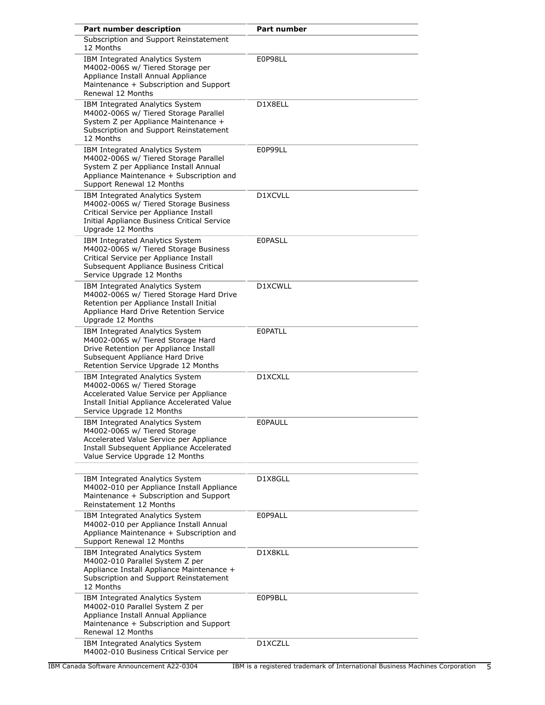| Part number description                                                                                                                                                                    | <b>Part number</b> |
|--------------------------------------------------------------------------------------------------------------------------------------------------------------------------------------------|--------------------|
| Subscription and Support Reinstatement<br>12 Months                                                                                                                                        |                    |
| IBM Integrated Analytics System<br>M4002-006S w/ Tiered Storage per<br>Appliance Install Annual Appliance<br>Maintenance + Subscription and Support<br>Renewal 12 Months                   | E0P98LL            |
| IBM Integrated Analytics System<br>M4002-006S w/ Tiered Storage Parallel<br>System Z per Appliance Maintenance +<br>Subscription and Support Reinstatement<br>12 Months                    | D1X8ELL            |
| IBM Integrated Analytics System<br>M4002-006S w/ Tiered Storage Parallel<br>System Z per Appliance Install Annual<br>Appliance Maintenance + Subscription and<br>Support Renewal 12 Months | E0P99LL            |
| IBM Integrated Analytics System<br>M4002-006S w/ Tiered Storage Business<br>Critical Service per Appliance Install<br>Initial Appliance Business Critical Service<br>Upgrade 12 Months     | D1XCVLL            |
| IBM Integrated Analytics System<br>M4002-006S w/ Tiered Storage Business<br>Critical Service per Appliance Install<br>Subsequent Appliance Business Critical<br>Service Upgrade 12 Months  | <b>EOPASLL</b>     |
| IBM Integrated Analytics System<br>M4002-006S w/ Tiered Storage Hard Drive<br>Retention per Appliance Install Initial<br>Appliance Hard Drive Retention Service<br>Upgrade 12 Months       | D1XCWLL            |
| IBM Integrated Analytics System<br>M4002-006S w/ Tiered Storage Hard<br>Drive Retention per Appliance Install<br>Subsequent Appliance Hard Drive<br>Retention Service Upgrade 12 Months    | <b>EOPATLL</b>     |
| IBM Integrated Analytics System<br>M4002-006S w/ Tiered Storage<br>Accelerated Value Service per Appliance<br>Install Initial Appliance Accelerated Value<br>Service Upgrade 12 Months     | D1XCXLL            |
| IBM Integrated Analytics System<br>M4002-006S w/ Tiered Storage<br>Accelerated Value Service per Appliance<br>Install Subsequent Appliance Accelerated<br>Value Service Upgrade 12 Months  | <b>EOPAULL</b>     |
| IBM Integrated Analytics System<br>M4002-010 per Appliance Install Appliance<br>Maintenance + Subscription and Support<br>Reinstatement 12 Months                                          | D1X8GLL            |
| IBM Integrated Analytics System<br>M4002-010 per Appliance Install Annual<br>Appliance Maintenance + Subscription and<br>Support Renewal 12 Months                                         | E0P9ALL            |
| IBM Integrated Analytics System<br>M4002-010 Parallel System Z per<br>Appliance Install Appliance Maintenance +<br>Subscription and Support Reinstatement<br>12 Months                     | D1X8KLL            |
| IBM Integrated Analytics System<br>M4002-010 Parallel System Z per<br>Appliance Install Annual Appliance<br>Maintenance + Subscription and Support<br>Renewal 12 Months                    | E0P9BLL            |
| IBM Integrated Analytics System<br>M4002-010 Business Critical Service per                                                                                                                 | D1XCZLL            |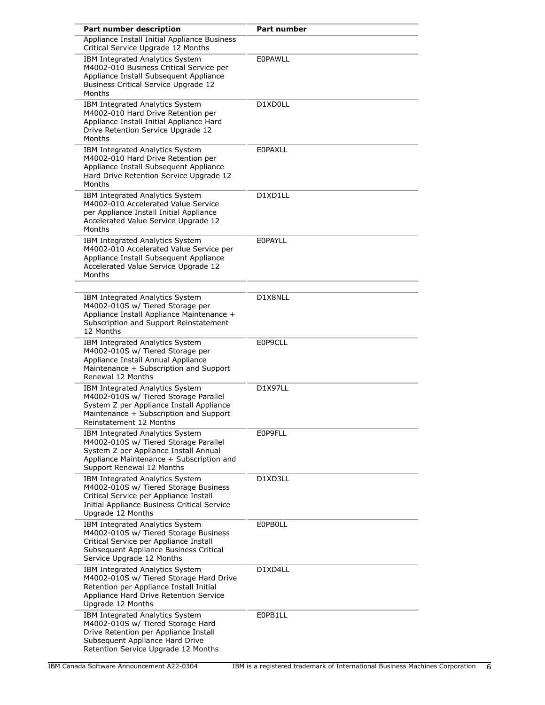| Part number description                                                                                                                                                                    | Part number    |
|--------------------------------------------------------------------------------------------------------------------------------------------------------------------------------------------|----------------|
| Appliance Install Initial Appliance Business<br>Critical Service Upgrade 12 Months                                                                                                         |                |
| IBM Integrated Analytics System<br>M4002-010 Business Critical Service per<br>Appliance Install Subsequent Appliance<br><b>Business Critical Service Upgrade 12</b><br>Months              | <b>EOPAWLL</b> |
| IBM Integrated Analytics System<br>M4002-010 Hard Drive Retention per<br>Appliance Install Initial Appliance Hard<br>Drive Retention Service Upgrade 12<br>Months                          | D1XD0LL        |
| IBM Integrated Analytics System<br>M4002-010 Hard Drive Retention per<br>Appliance Install Subsequent Appliance<br>Hard Drive Retention Service Upgrade 12<br>Months                       | EOPAXLL        |
| IBM Integrated Analytics System<br>M4002-010 Accelerated Value Service<br>per Appliance Install Initial Appliance<br>Accelerated Value Service Upgrade 12<br>Months                        | D1XD1LL        |
| IBM Integrated Analytics System<br>M4002-010 Accelerated Value Service per<br>Appliance Install Subsequent Appliance<br>Accelerated Value Service Upgrade 12<br>Months                     | EOPAYLL        |
| IBM Integrated Analytics System<br>M4002-010S w/ Tiered Storage per<br>Appliance Install Appliance Maintenance +<br>Subscription and Support Reinstatement<br>12 Months                    | D1X8NLL        |
| IBM Integrated Analytics System<br>M4002-010S w/ Tiered Storage per<br>Appliance Install Annual Appliance<br>Maintenance + Subscription and Support<br>Renewal 12 Months                   | E0P9CLL        |
| IBM Integrated Analytics System<br>M4002-010S w/ Tiered Storage Parallel<br>System Z per Appliance Install Appliance<br>Maintenance + Subscription and Support<br>Reinstatement 12 Months  | <b>D1X97LL</b> |
| IBM Integrated Analytics System<br>M4002-010S w/ Tiered Storage Parallel<br>System Z per Appliance Install Annual<br>Appliance Maintenance + Subscription and<br>Support Renewal 12 Months | E0P9FLL        |
| IBM Integrated Analytics System<br>M4002-010S w/ Tiered Storage Business<br>Critical Service per Appliance Install<br>Initial Appliance Business Critical Service<br>Upgrade 12 Months     | D1XD3LL        |
| IBM Integrated Analytics System<br>M4002-010S w/ Tiered Storage Business<br>Critical Service per Appliance Install<br>Subsequent Appliance Business Critical<br>Service Upgrade 12 Months  | <b>EOPBOLL</b> |
| IBM Integrated Analytics System<br>M4002-010S w/ Tiered Storage Hard Drive<br>Retention per Appliance Install Initial<br>Appliance Hard Drive Retention Service<br>Upgrade 12 Months       | D1XD4LL        |
| IBM Integrated Analytics System<br>M4002-010S w/ Tiered Storage Hard<br>Drive Retention per Appliance Install<br>Subsequent Appliance Hard Drive<br>Retention Service Upgrade 12 Months    | E0PB1LL        |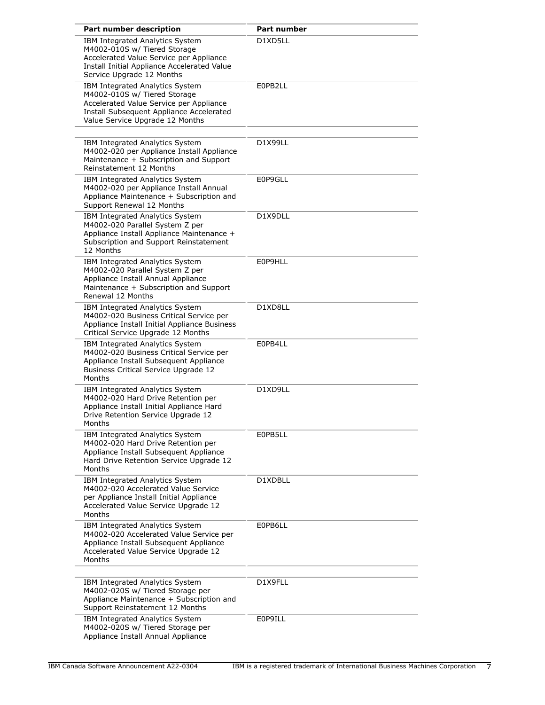| Part number description                                                                                                                                                                   | <b>Part number</b> |
|-------------------------------------------------------------------------------------------------------------------------------------------------------------------------------------------|--------------------|
| IBM Integrated Analytics System<br>M4002-010S w/ Tiered Storage<br>Accelerated Value Service per Appliance<br>Install Initial Appliance Accelerated Value<br>Service Upgrade 12 Months    | D1XD5LL            |
| IBM Integrated Analytics System<br>M4002-010S w/ Tiered Storage<br>Accelerated Value Service per Appliance<br>Install Subsequent Appliance Accelerated<br>Value Service Upgrade 12 Months | E0PB2LL            |
| IBM Integrated Analytics System<br>M4002-020 per Appliance Install Appliance<br>Maintenance + Subscription and Support<br>Reinstatement 12 Months                                         | D1X99LL            |
| IBM Integrated Analytics System<br>M4002-020 per Appliance Install Annual<br>Appliance Maintenance + Subscription and<br>Support Renewal 12 Months                                        | E0P9GLL            |
| IBM Integrated Analytics System<br>M4002-020 Parallel System Z per<br>Appliance Install Appliance Maintenance +<br>Subscription and Support Reinstatement<br>12 Months                    | D1X9DLL            |
| IBM Integrated Analytics System<br>M4002-020 Parallel System Z per<br>Appliance Install Annual Appliance<br>Maintenance + Subscription and Support<br>Renewal 12 Months                   | E0P9HLL            |
| IBM Integrated Analytics System<br>M4002-020 Business Critical Service per<br>Appliance Install Initial Appliance Business<br>Critical Service Upgrade 12 Months                          | D1XD8LL            |
| IBM Integrated Analytics System<br>M4002-020 Business Critical Service per<br>Appliance Install Subsequent Appliance<br>Business Critical Service Upgrade 12<br>Months                    | E0PB4LL            |
| IBM Integrated Analytics System<br>M4002-020 Hard Drive Retention per<br>Appliance Install Initial Appliance Hard<br>Drive Retention Service Upgrade 12<br>Months                         | D1XD9LL            |
| IBM Integrated Analytics System<br>M4002-020 Hard Drive Retention per<br>Appliance Install Subsequent Appliance<br>Hard Drive Retention Service Upgrade 12<br>Months                      | E0PB5LL            |
| IBM Integrated Analytics System<br>M4002-020 Accelerated Value Service<br>per Appliance Install Initial Appliance<br>Accelerated Value Service Upgrade 12<br>Months                       | D1XDBLL            |
| IBM Integrated Analytics System<br>M4002-020 Accelerated Value Service per<br>Appliance Install Subsequent Appliance<br>Accelerated Value Service Upgrade 12<br>Months                    | E0PB6LL            |
| IBM Integrated Analytics System<br>M4002-020S w/ Tiered Storage per<br>Appliance Maintenance + Subscription and<br>Support Reinstatement 12 Months                                        | D1X9FLL            |
| IBM Integrated Analytics System<br>M4002-020S w/ Tiered Storage per<br>Appliance Install Annual Appliance                                                                                 | E0P9ILL            |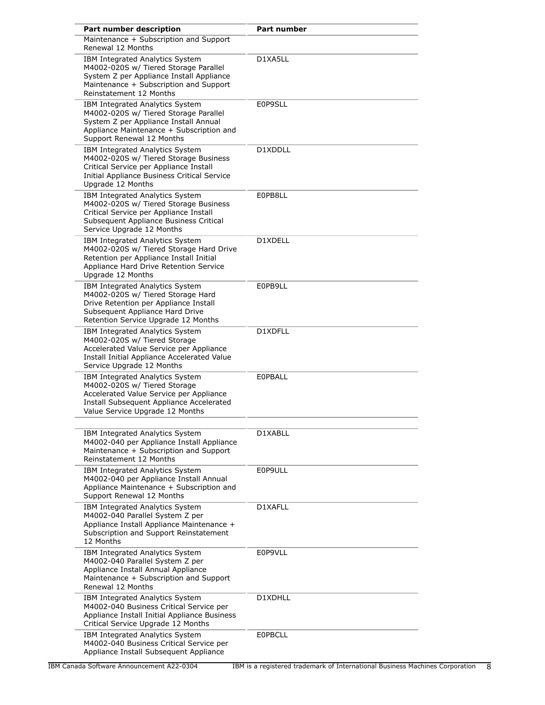| Part number description                                                                                                                                                                    | <b>Part number</b> |
|--------------------------------------------------------------------------------------------------------------------------------------------------------------------------------------------|--------------------|
| Maintenance + Subscription and Support<br>Renewal 12 Months                                                                                                                                |                    |
| IBM Integrated Analytics System<br>M4002-020S w/ Tiered Storage Parallel<br>System Z per Appliance Install Appliance<br>Maintenance + Subscription and Support<br>Reinstatement 12 Months  | D1XA5LL            |
| IBM Integrated Analytics System<br>M4002-020S w/ Tiered Storage Parallel<br>System Z per Appliance Install Annual<br>Appliance Maintenance + Subscription and<br>Support Renewal 12 Months | E0P9SLL            |
| IBM Integrated Analytics System<br>M4002-020S w/ Tiered Storage Business<br>Critical Service per Appliance Install<br>Initial Appliance Business Critical Service<br>Upgrade 12 Months     | D1XDDLL            |
| IBM Integrated Analytics System<br>M4002-020S w/ Tiered Storage Business<br>Critical Service per Appliance Install<br>Subsequent Appliance Business Critical<br>Service Upgrade 12 Months  | E0PB8LL            |
| IBM Integrated Analytics System<br>M4002-020S w/ Tiered Storage Hard Drive<br>Retention per Appliance Install Initial<br>Appliance Hard Drive Retention Service<br>Upgrade 12 Months       | D1XDELL            |
| IBM Integrated Analytics System<br>M4002-020S w/ Tiered Storage Hard<br>Drive Retention per Appliance Install<br>Subsequent Appliance Hard Drive<br>Retention Service Upgrade 12 Months    | E0PB9LL            |
| IBM Integrated Analytics System<br>M4002-020S w/ Tiered Storage<br>Accelerated Value Service per Appliance<br>Install Initial Appliance Accelerated Value<br>Service Upgrade 12 Months     | D1XDFLL            |
| IBM Integrated Analytics System<br>M4002-020S w/ Tiered Storage<br>Accelerated Value Service per Appliance<br>Install Subsequent Appliance Accelerated<br>Value Service Upgrade 12 Months  | <b>EOPBALL</b>     |
| IBM Integrated Analytics System<br>M4002-040 per Appliance Install Appliance<br>Maintenance + Subscription and Support<br>Reinstatement 12 Months                                          | D1XABLL            |
| IBM Integrated Analytics System<br>M4002-040 per Appliance Install Annual<br>Appliance Maintenance + Subscription and<br>Support Renewal 12 Months                                         | E0P9ULL            |
| IBM Integrated Analytics System<br>M4002-040 Parallel System Z per<br>Appliance Install Appliance Maintenance +<br>Subscription and Support Reinstatement<br>12 Months                     | D1XAFLL            |
| IBM Integrated Analytics System<br>M4002-040 Parallel System Z per<br>Appliance Install Annual Appliance<br>Maintenance + Subscription and Support<br>Renewal 12 Months                    | E0P9VLL            |
| IBM Integrated Analytics System<br>M4002-040 Business Critical Service per<br>Appliance Install Initial Appliance Business<br>Critical Service Upgrade 12 Months                           | D1XDHLL            |
| IBM Integrated Analytics System<br>M4002-040 Business Critical Service per<br>Appliance Install Subsequent Appliance                                                                       | <b>EOPBCLL</b>     |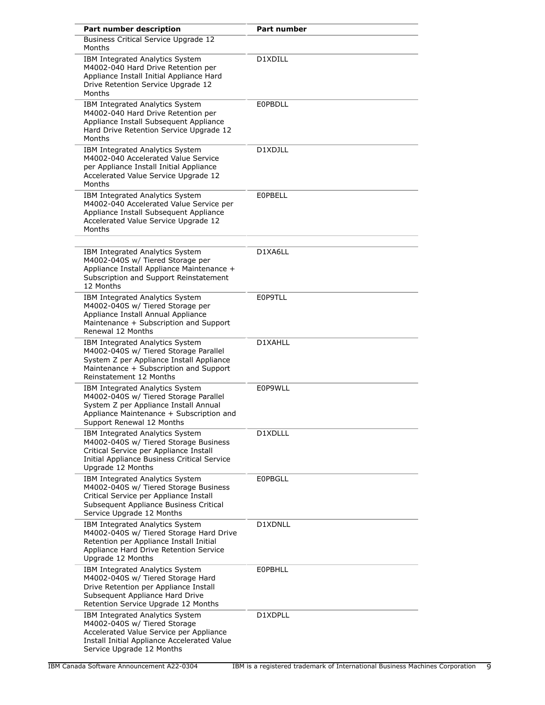| Part number description                                                                                                                                                                    | <b>Part number</b> |
|--------------------------------------------------------------------------------------------------------------------------------------------------------------------------------------------|--------------------|
| <b>Business Critical Service Upgrade 12</b><br>Months                                                                                                                                      |                    |
| IBM Integrated Analytics System<br>M4002-040 Hard Drive Retention per<br>Appliance Install Initial Appliance Hard<br>Drive Retention Service Upgrade 12<br>Months                          | D1XDILL            |
| IBM Integrated Analytics System<br>M4002-040 Hard Drive Retention per<br>Appliance Install Subsequent Appliance<br>Hard Drive Retention Service Upgrade 12<br>Months                       | <b>EOPBDLL</b>     |
| IBM Integrated Analytics System<br>M4002-040 Accelerated Value Service<br>per Appliance Install Initial Appliance<br>Accelerated Value Service Upgrade 12<br>Months                        | D1XDJLL            |
| IBM Integrated Analytics System<br>M4002-040 Accelerated Value Service per<br>Appliance Install Subsequent Appliance<br>Accelerated Value Service Upgrade 12<br>Months                     | <b>EOPBELL</b>     |
| IBM Integrated Analytics System<br>M4002-040S w/ Tiered Storage per<br>Appliance Install Appliance Maintenance +<br>Subscription and Support Reinstatement<br>12 Months                    | D1XA6LL            |
| IBM Integrated Analytics System<br>M4002-040S w/ Tiered Storage per<br>Appliance Install Annual Appliance<br>Maintenance + Subscription and Support<br>Renewal 12 Months                   | E0P9TLL            |
| IBM Integrated Analytics System<br>M4002-040S w/ Tiered Storage Parallel<br>System Z per Appliance Install Appliance<br>Maintenance + Subscription and Support<br>Reinstatement 12 Months  | D1XAHLL            |
| IBM Integrated Analytics System<br>M4002-040S w/ Tiered Storage Parallel<br>System Z per Appliance Install Annual<br>Appliance Maintenance + Subscription and<br>Support Renewal 12 Months | E0P9WLL            |
| IBM Integrated Analytics System<br>M4002-040S w/ Tiered Storage Business<br>Critical Service per Appliance Install<br>Initial Appliance Business Critical Service<br>Upgrade 12 Months     | D1XDLLL            |
| IBM Integrated Analytics System<br>M4002-040S w/ Tiered Storage Business<br>Critical Service per Appliance Install<br>Subsequent Appliance Business Critical<br>Service Upgrade 12 Months  | <b>EOPBGLL</b>     |
| IBM Integrated Analytics System<br>M4002-040S w/ Tiered Storage Hard Drive<br>Retention per Appliance Install Initial<br>Appliance Hard Drive Retention Service<br>Upgrade 12 Months       | D1XDNLL            |
| IBM Integrated Analytics System<br>M4002-040S w/ Tiered Storage Hard<br>Drive Retention per Appliance Install<br>Subsequent Appliance Hard Drive<br>Retention Service Upgrade 12 Months    | <b>EOPBHLL</b>     |
| IBM Integrated Analytics System<br>M4002-040S w/ Tiered Storage<br>Accelerated Value Service per Appliance<br>Install Initial Appliance Accelerated Value<br>Service Upgrade 12 Months     | D1XDPLL            |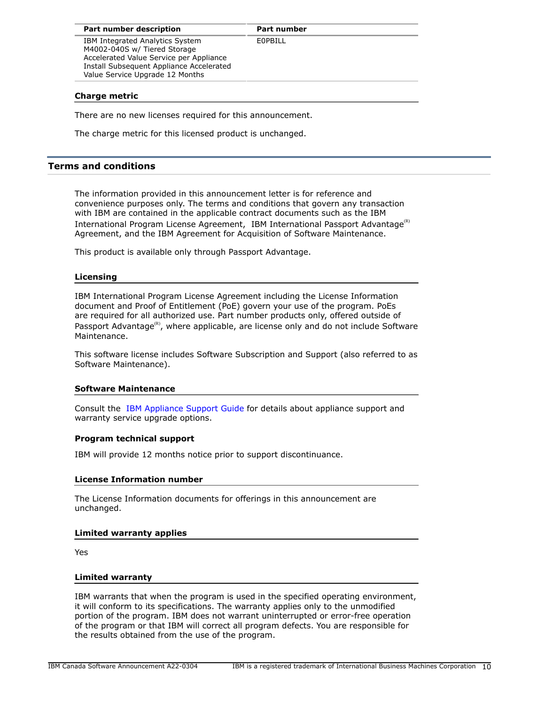**Part number** 

E0PBILL

IBM Integrated Analytics System M4002-040S w/ Tiered Storage Accelerated Value Service per Appliance Install Subsequent Appliance Accelerated Value Service Upgrade 12 Months

# **Charge metric**

There are no new licenses required for this announcement.

The charge metric for this licensed product is unchanged.

# <span id="page-9-0"></span>**Terms and conditions**

The information provided in this announcement letter is for reference and convenience purposes only. The terms and conditions that govern any transaction with IBM are contained in the applicable contract documents such as the IBM International Program License Agreement, IBM International Passport Advantage<sup>(R)</sup> Agreement, and the IBM Agreement for Acquisition of Software Maintenance.

This product is available only through Passport Advantage.

# **Licensing**

IBM International Program License Agreement including the License Information document and Proof of Entitlement (PoE) govern your use of the program. PoEs are required for all authorized use. Part number products only, offered outside of Passport Advantage<sup>(R)</sup>, where applicable, are license only and do not include Software Maintenance.

This software license includes Software Subscription and Support (also referred to as Software Maintenance).

# **Software Maintenance**

Consult the [IBM Appliance Support Guide](http://www.ibm.com/software/appliance/support) for details about appliance support and warranty service upgrade options.

# **Program technical support**

IBM will provide 12 months notice prior to support discontinuance.

# **License Information number**

The License Information documents for offerings in this announcement are unchanged.

# **Limited warranty applies**

Yes

# **Limited warranty**

IBM warrants that when the program is used in the specified operating environment, it will conform to its specifications. The warranty applies only to the unmodified portion of the program. IBM does not warrant uninterrupted or error-free operation of the program or that IBM will correct all program defects. You are responsible for the results obtained from the use of the program.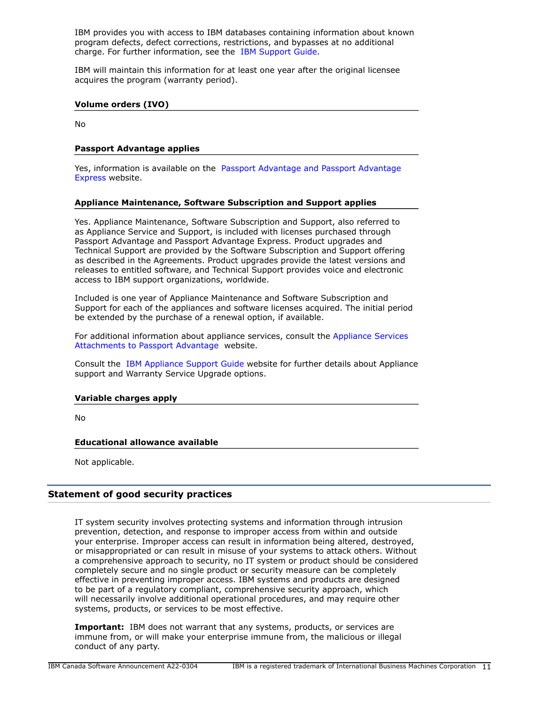IBM provides you with access to IBM databases containing information about known program defects, defect corrections, restrictions, and bypasses at no additional charge. For further information, see the [IBM Support Guide](http://www.ibm.com/support/customercare/sas/f/handbook/home.html).

IBM will maintain this information for at least one year after the original licensee acquires the program (warranty period).

### **Volume orders (IVO)**

No

## **Passport Advantage applies**

Yes, information is available on the [Passport Advantage and Passport Advantage](http://www.ibm.com/software/passportadvantage) [Express](http://www.ibm.com/software/passportadvantage) website.

## **Appliance Maintenance, Software Subscription and Support applies**

Yes. Appliance Maintenance, Software Subscription and Support, also referred to as Appliance Service and Support, is included with licenses purchased through Passport Advantage and Passport Advantage Express. Product upgrades and Technical Support are provided by the Software Subscription and Support offering as described in the Agreements. Product upgrades provide the latest versions and releases to entitled software, and Technical Support provides voice and electronic access to IBM support organizations, worldwide.

Included is one year of Appliance Maintenance and Software Subscription and Support for each of the appliances and software licenses acquired. The initial period be extended by the purchase of a renewal option, if available.

For additional information about appliance services, consult the [Appliance Services](http://www.ibm.com/software/lotus/passportadvantage/agreementsandforms.html) [Attachments to Passport Advantage](http://www.ibm.com/software/lotus/passportadvantage/agreementsandforms.html) website.

Consult the [IBM Appliance Support Guide](http://www.ibm.com/software/appliance/support) website for further details about Appliance support and Warranty Service Upgrade options.

#### **Variable charges apply**

No

## **Educational allowance available**

Not applicable.

# **Statement of good security practices**

IT system security involves protecting systems and information through intrusion prevention, detection, and response to improper access from within and outside your enterprise. Improper access can result in information being altered, destroyed, or misappropriated or can result in misuse of your systems to attack others. Without a comprehensive approach to security, no IT system or product should be considered completely secure and no single product or security measure can be completely effective in preventing improper access. IBM systems and products are designed to be part of a regulatory compliant, comprehensive security approach, which will necessarily involve additional operational procedures, and may require other systems, products, or services to be most effective.

**Important:** IBM does not warrant that any systems, products, or services are immune from, or will make your enterprise immune from, the malicious or illegal conduct of any party.